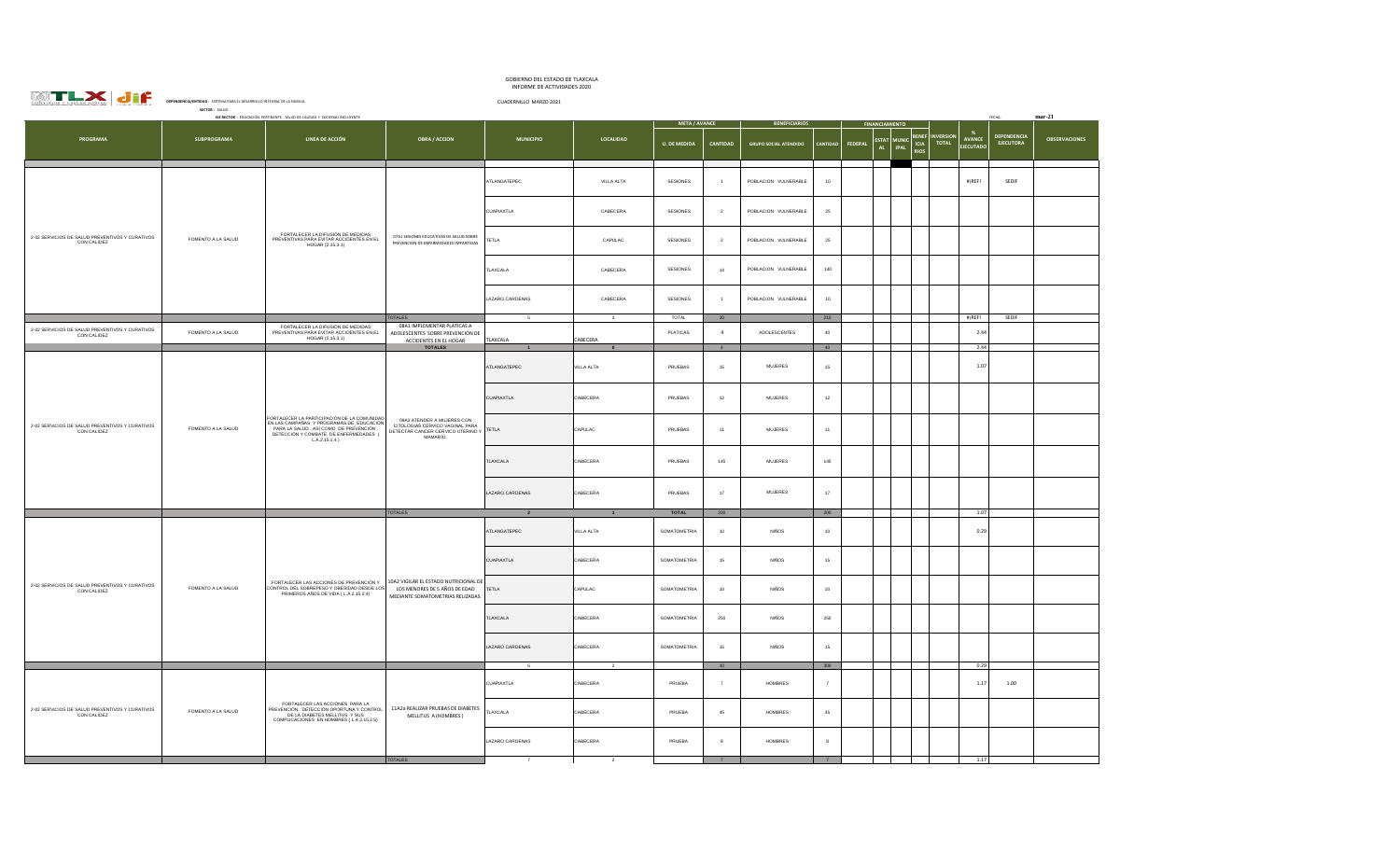| <b>CONSTRUIR Y CRECER JUNT</b><br>OS | $\overline{1}$ |
|--------------------------------------|----------------|

## GOBIERNO DEL ESTADO DE TLAXCALA INFORME DE ACTIVIDADES 2020

| SSSSTEPTE Y SERSEE PENTSE                                      | DEPENDENCIA/ENTID<br>SISTEMA PARA EL DESARROLLO INTEGRAL DE LA FAMILIA<br>SECTOR: SALUD |                                                                                                                                                                                               |                                                                                                                | CUADERNILLO MARZO 2021 |                         |                      |                     |                              |                  |         |                                                                                                       |                                                              |                                 |                      |
|----------------------------------------------------------------|-----------------------------------------------------------------------------------------|-----------------------------------------------------------------------------------------------------------------------------------------------------------------------------------------------|----------------------------------------------------------------------------------------------------------------|------------------------|-------------------------|----------------------|---------------------|------------------------------|------------------|---------|-------------------------------------------------------------------------------------------------------|--------------------------------------------------------------|---------------------------------|----------------------|
|                                                                |                                                                                         | EJE RECTOR : EDUCACION PERTINENTE SALUD DE CALIDAD Y SOCIEDAD INCLUYENTE                                                                                                                      |                                                                                                                |                        |                         | <b>META / AVANCE</b> |                     | <b>BENEFICIARIOS</b>         |                  |         | <b>FINANCIAMIENTO</b>                                                                                 |                                                              |                                 | $mar-21$             |
| PROGRAMA                                                       | SUBPROGRAMA                                                                             | LINEA DE ACCIÓN                                                                                                                                                                               | <b>OBRA / ACCION</b>                                                                                           | <b>MUNICIPIO</b>       | LOCALIDAD               | <b>U. DE MEDIDA</b>  | CANTIDAD            | <b>GRUPO SOCIAL ATENDIDO</b> | CANTIDAD         | FEDERAL | <b>BENE</b><br><b>ESTAT</b><br><b>MUNIC</b><br><b>ICIA</b><br><b>AL</b><br><b>IPAL</b><br><b>RIOS</b> | - %<br><b>NVERSION</b><br>AVANCE<br>TOTAL<br><b>JECUTADO</b> | DEPENDENCIA<br><b>EJECUTORA</b> | <b>OBSERVACIONES</b> |
|                                                                |                                                                                         |                                                                                                                                                                                               |                                                                                                                | ATLANGATEPEC           | VILLA ALTA              | SESIONES             | $\overline{1}$      | POBLACION VULNERABLE         | $10$             |         |                                                                                                       | $#i$ REF!                                                    | SEDIF                           |                      |
|                                                                |                                                                                         |                                                                                                                                                                                               |                                                                                                                | <b>CUAPIAXTLA</b>      | CABECERA                | <b>SESIONES</b>      | $\overline{2}$      | POBLACION VULNERABLE         | 25               |         |                                                                                                       |                                                              |                                 |                      |
| 2-02 SERVICIOS DE SALUD PREVENTIVOS Y CURATIVOS<br>CON CALIDEZ | FOMENTO A LA SALUD                                                                      | FORTALECER LA DIFUSIÓN DE MEDIDAS<br>PREVENTIVAS PARA EVITAR ACCIDENTES EN EL<br>HOGAR (2.15.3.1)                                                                                             | 07A1 SESIONES EDUCATIVAS DE SALUD SOBRE<br>PREVENCION DE ENFERMEDADES IMPARTIDAS                               | <b>TETLA</b>           | CAPULAC                 | <b>SESIONES</b>      | $\overline{2}$      | POBLACION VULNERABLE         | 25               |         |                                                                                                       |                                                              |                                 |                      |
|                                                                |                                                                                         |                                                                                                                                                                                               |                                                                                                                | TLAXCALA               | CABECERA                | SESIONES             | $^{\rm 14}$         | POBLACION VULNERABLE         | 140              |         |                                                                                                       |                                                              |                                 |                      |
|                                                                |                                                                                         |                                                                                                                                                                                               |                                                                                                                | LAZARO CARDENAS        | CABECERA                | SESIONES             | $\overline{1}$      | POBLACION VULNERABLE         | 10 <sub>10</sub> |         |                                                                                                       |                                                              |                                 |                      |
|                                                                |                                                                                         |                                                                                                                                                                                               | TOTALES                                                                                                        | 5                      | $\overline{\mathbf{3}}$ | TOTAL                | 20                  |                              | $210\,$          |         |                                                                                                       | #jREF!                                                       | SEDIF                           |                      |
| 2-02 SERVICIOS DE SALUD PREVENTIVOS Y CURATIVOS<br>CON CALIDEZ | FOMENTO A LA SALUD                                                                      | FORTALECER LA DIFUSIÓN DE MEDIDAS<br>PREVENTIVAS PARA EVITAR ACCIDENTES EN EL<br>HOGAR (2.15.3.1)                                                                                             | 08A1 IMPLEMENTAR PLATICAS A<br>ADOLESCENTES SOBRE PREVENCIÓN DE<br>ACCIDENTES EN EL HOGAR<br><b>TOTALES</b>    | TLAXCALA               | CABECERA                | PLATICAS             | $\overline{4}$<br>4 | ADOLESCENTES                 | $40\,$<br>40     |         |                                                                                                       | 2.44<br>2.44                                                 |                                 |                      |
|                                                                | FOMENTO A LA SALUD                                                                      | FORTALECER LA PARTICIPACIÓN DE LA COMUNIDAD<br>FRI LAS CAMPAÑAS Y PROGRAMAS DE EDUCACIÓN<br>PARA LA SALUD, ASÍ COMO DE PREVENCIÓN<br>DETECCIÓN Y COMBATE DE ENFERMEDADES (<br>$LA.2.15.1.4$ ) | 09A2 ATENDER A MUJERES CON<br>CITOLOGIAS CERVICO VAGINAL PARA<br>DETECTAR CANCER CERVICO UTERINO Y<br>MAMARIO. | ATLANGATEPEC           | VILLA ALTA              | PRUEBAS              | 15                  | <b>MUJERES</b>               | $15\,$           |         |                                                                                                       | 1.07                                                         |                                 |                      |
|                                                                |                                                                                         |                                                                                                                                                                                               |                                                                                                                | CUAPIAXTLA             | CABECERA                | PRUEBAS              | $12\,$              | MUJERES                      | $12\,$           |         |                                                                                                       |                                                              |                                 |                      |
| 2-02 SERVICIOS DE SALUD PREVENTIVOS Y CURATIVOS<br>CON CALIDEZ |                                                                                         |                                                                                                                                                                                               |                                                                                                                | <b>TETLA</b>           | CAPULAC                 | PRUEBAS              | 11                  | MUJERES                      | 11               |         |                                                                                                       |                                                              |                                 |                      |
|                                                                |                                                                                         |                                                                                                                                                                                               |                                                                                                                | TLAXCALA               | CABECERA                | PRUFRAS              | 145                 | MUJERES                      | 145              |         |                                                                                                       |                                                              |                                 |                      |
|                                                                |                                                                                         |                                                                                                                                                                                               |                                                                                                                | LAZARO CARDENAS        | CABECERA                | PRUEBAS              | 17 <sub>2</sub>     | MUJERES                      | $17\,$           |         |                                                                                                       |                                                              |                                 |                      |
|                                                                |                                                                                         |                                                                                                                                                                                               | <b>TOTALES</b>                                                                                                 |                        |                         | TOTAL                | 200                 |                              | $200\,$          |         |                                                                                                       | 1.07                                                         |                                 |                      |
|                                                                |                                                                                         | FORTALECER LAS ACCIONES DE PREVENCIÓN Y<br>CONTROL DEL SOBREPESO Y OBESIDAD DESDE LOS<br>PRIMEROS AÑOS DE VIDA (L.A.2.15.2.4)                                                                 | 10A2 VIGILAR EL ESTADO NUTRICIONAL DE<br>LOS MENORES DE 5 AÑOS DE EDAD<br>MEDIANTE SOMATOMETRIAS RELIZADAS.    | ATLANGATEPEC           | VILLA ALTA              | SOMATOMETRIA         | 10                  | NIÑOS                        | 10               |         |                                                                                                       | 0.29                                                         |                                 |                      |
|                                                                |                                                                                         |                                                                                                                                                                                               |                                                                                                                | <b>CUAPIAXTLA</b>      | CABECERA                | <b>SOMATOMETRIA</b>  | 15                  | NIÑOS                        | $15\,$           |         |                                                                                                       |                                                              |                                 |                      |
| 2-02 SERVICIOS DE SALUD PREVENTIVOS Y CURATIVOS<br>CON CALIDEZ | FOMENTO A LA SALUD                                                                      |                                                                                                                                                                                               |                                                                                                                | TETLA                  | CAPULAC                 | SOMATOMETRIA         | 10                  | <b>NIÑOS</b>                 | 10               |         |                                                                                                       |                                                              |                                 |                      |
|                                                                |                                                                                         |                                                                                                                                                                                               |                                                                                                                | TLAXCALA               | CABECERA                | SOMATOMETRIA         | 250                 | NIÑOS                        | $250\,$          |         |                                                                                                       |                                                              |                                 |                      |
|                                                                |                                                                                         |                                                                                                                                                                                               |                                                                                                                | LAZARO CARDENAS        | CABECERA                | SOMATOMETRIA         | 15                  | <b>NIÑOS</b>                 | $15\,$           |         |                                                                                                       |                                                              |                                 |                      |
|                                                                |                                                                                         |                                                                                                                                                                                               |                                                                                                                |                        |                         |                      | 10                  |                              | 300              |         |                                                                                                       | 0.29                                                         |                                 |                      |
|                                                                |                                                                                         |                                                                                                                                                                                               | 11A2a REALIZAR PRUEBAS DE DIABETES<br>MELLITUS A (HOMBRES)                                                     | CUAPIAXTLA             | CABECERA                | PRUEBA               | $\overline{7}$      | HOMBRES                      | $\tau$           |         |                                                                                                       | 1.17                                                         | 1.00                            |                      |
| 2-02 SERVICIOS DE SALUD PREVENTIVOS Y CURATIVOS<br>CON CALIDEZ | FOMENTO A LA SALUD                                                                      | FORTALECER LAS ACCIONES PARA LA<br>PREVENCIÓN, DETECCIÓN OPORTUNA Y CONTROL<br>DE LA DIABETES MELLITUS Y SUS<br>COMPLICACIONES EN HOMBRES (LA 2.15.2.5)                                       |                                                                                                                | TLAXCALA               | CABECERA                | PRUEBA               | 45                  | <b>HOMBRES</b>               | 45               |         |                                                                                                       |                                                              |                                 |                      |
|                                                                |                                                                                         |                                                                                                                                                                                               |                                                                                                                | LAZARO CARDENAS        | CABECERA                | PRUEBA               | 8                   | <b>HOMBRES</b>               | $\boldsymbol{8}$ |         |                                                                                                       |                                                              |                                 |                      |
|                                                                |                                                                                         |                                                                                                                                                                                               | <b>TOTALES</b>                                                                                                 |                        |                         |                      | 7                   |                              | $\overline{7}$   |         |                                                                                                       | 1.17                                                         |                                 |                      |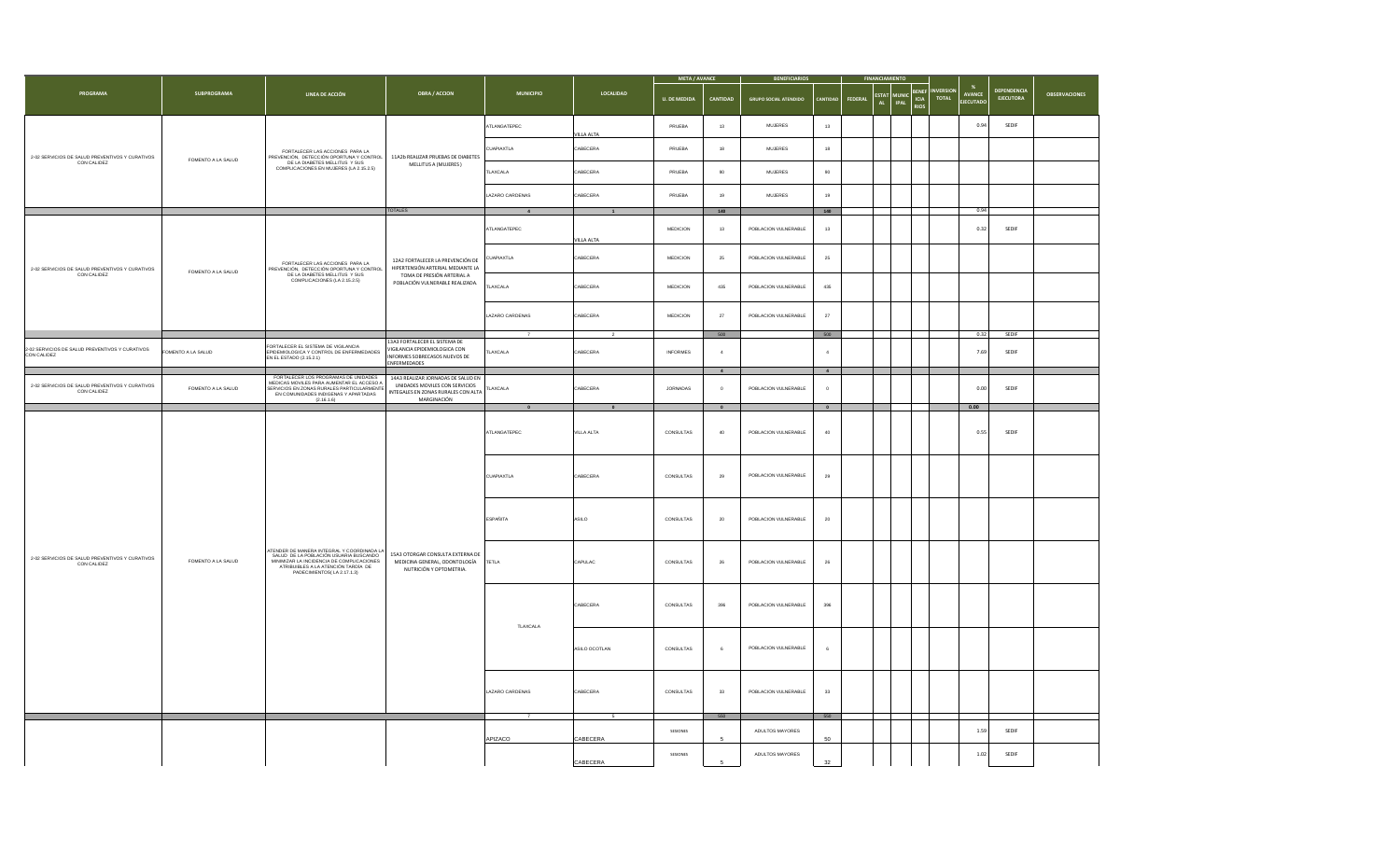|                                                                |                    |                                                                                                                                                                                                               |                                                                                                                            |                   |                   | <b>META / AVANCE</b> |                           | <b>BENEFICIARIOS</b>         |                          |                                                                                               |                                |                                         |                                        |                      |
|----------------------------------------------------------------|--------------------|---------------------------------------------------------------------------------------------------------------------------------------------------------------------------------------------------------------|----------------------------------------------------------------------------------------------------------------------------|-------------------|-------------------|----------------------|---------------------------|------------------------------|--------------------------|-----------------------------------------------------------------------------------------------|--------------------------------|-----------------------------------------|----------------------------------------|----------------------|
| PROGRAMA                                                       | <b>SUBPROGRAMA</b> | LINEA DE ACCIÓN                                                                                                                                                                                               | <b>OBRA / ACCION</b>                                                                                                       | <b>MUNICIPIO</b>  | LOCALIDAD         | <b>U. DE MEDIDA</b>  | CANTIDAD                  | <b>GRUPO SOCIAL ATENDIDO</b> | <b>ANTIDAE</b>           | BENEF<br><b>ESTAT</b><br><b>MUNIC</b><br>ICIA<br>FEDERAL<br><b>IPAL</b><br>AL.<br><b>RIOS</b> | <b>IVERSIO</b><br><b>TOTAL</b> | $\%$<br><b>AVANCE</b><br><b>JECUTAD</b> | <b>DEPENDENCIA</b><br><b>FIFCUTORA</b> | <b>OBSERVACIONES</b> |
|                                                                |                    |                                                                                                                                                                                                               |                                                                                                                            | ATLANGATEPEC      | <b>VILLA ALTA</b> | PRUEBA               | 13                        | <b>MUJERES</b>               | $13$                     |                                                                                               |                                | 0.94                                    | SEDIF                                  |                      |
| 2-02 SERVICIOS DE SALUD PREVENTIVOS Y CURATIVOS<br>CON CALIDEZ | FOMENTO A LA SALUD | FORTALECER LAS ACCIONES PARA LA<br>PREVENCIÓN, DETECCIÓN OPORTUNA Y CONTROL                                                                                                                                   | 11A2b REALIZAR PRUEBAS DE DIABETES                                                                                         | <b>CUAPIAXTLA</b> | CABECERA          | PRUEBA               | 18                        | <b>MUJERES</b>               | 18                       |                                                                                               |                                |                                         |                                        |                      |
|                                                                |                    | DE LA DIABETES MELLITUS Y SUS<br>COMPLICACIONES EN MUJERES (LA 2.15.2.5)                                                                                                                                      | MELLITUS A (MUJERES)                                                                                                       | LAXCALA           | CABECERA          | PRUEBA               | 90                        | <b>MUJERES</b>               | 90                       |                                                                                               |                                |                                         |                                        |                      |
|                                                                |                    |                                                                                                                                                                                                               | <b>TOTALES</b>                                                                                                             | LAZARO CARDENAS   | CABECERA          | PRUEBA               | 19                        | ${\tt MULERES}$              | 19<br>140                |                                                                                               |                                | 0.94                                    |                                        |                      |
|                                                                |                    |                                                                                                                                                                                                               |                                                                                                                            | $\overline{4}$    | $\blacksquare$    |                      | 140                       |                              |                          |                                                                                               |                                |                                         |                                        |                      |
|                                                                |                    |                                                                                                                                                                                                               |                                                                                                                            | TLANGATEPEC       | <b>VILLA ALTA</b> | MEDICION             | $13\,$                    | POBLACION VULNERABLE         | $13$                     |                                                                                               |                                | 0.32                                    | SEDIF                                  |                      |
| 2-02 SERVICIOS DE SALUD PREVENTIVOS Y CURATIVOS                | FOMENTO A LA SALUD | FORTALECER LAS ACCIONES PARA LA<br>PREVENCIÓN, DETECCIÓN OPORTUNA Y CONTROL<br>DE LA DIABETES MELLITUS Y SUS<br>COMPLICACIONES (LA 2.15.2.5)                                                                  | 12A2 FORTALECER LA PREVENCIÓN DE<br>HIPERTENSIÓN ARTERIAL MEDIANTE LA                                                      | CUAPIAXTLA        | CABECERA          | <b>MEDICION</b>      | 25                        | POBLACION VULNERABLE         | 25                       |                                                                                               |                                |                                         |                                        |                      |
| CON CALIDEZ                                                    |                    |                                                                                                                                                                                                               | TOMA DE PRESIÓN ARTERIAL A<br>POBLACIÓN VULNERABLE REALIZADA.                                                              | TLAXCALA          | CABECERA          | MEDICION             | 435                       | POBLACION VULNERABLE         | 435                      |                                                                                               |                                |                                         |                                        |                      |
|                                                                |                    |                                                                                                                                                                                                               |                                                                                                                            | LAZARO CARDENAS   | CABECERA          | <b>MEDICION</b>      | 27                        | POBLACION VULNERABLE         | 27                       |                                                                                               |                                |                                         |                                        |                      |
|                                                                |                    |                                                                                                                                                                                                               | 13A3 FORTALECER EL SISTEMA DE                                                                                              |                   |                   |                      | 500                       |                              | 500                      |                                                                                               |                                | 0.32                                    | SEDIF                                  |                      |
| 2-02 SERVICIOS DE SALUD PREVENTIVOS Y CURATIVOS<br>CON CALIDEZ | FOMENTO A LA SALUD | FORTALECER EL SISTEMA DE VIGILANCIA<br>EPIDEMIOLOGICA Y CONTROL DE ENFERMEDADES<br>EN EL ESTADO (2.15.2.1)                                                                                                    | /IGILANCIA EPIDEMIOLOGICA CON<br>INFORMES SOBRECASOS NUEVOS DE<br>ENFERMEDADES                                             | <b>TLAXCALA</b>   | CABECERA          | <b>INFORMES</b>      |                           |                              | $\overline{4}$           |                                                                                               |                                | 7.69                                    | SEDIF                                  |                      |
| 2-02 SERVICIOS DE SALUD PREVENTIVOS Y CURATIVOS<br>CON CALIDEZ | FOMENTO A LA SALUD | FORTALECER LOS PROGRAMAS DE UNIDADES<br>MEDICAS MOVILES PARA AUMENTAR EL ACCESO A<br>SERVICIOS EN ZONAS RURALES PARTICULARMENTE<br>(2.16, 1.6)                                                                | 14A3 REALIZAR JORNADAS DE SALUD EN<br>UNIDADES MOVILES CON SERVICIOS<br>INTEGALES EN ZONAS RURALES CON ALTA<br>MARGINACIÓN | TLAXCALA          | CABECERA          | JORNADAS             | $\overline{4}$<br>$\circ$ | POBLACION VULNERABLE         | $\overline{4}$<br>$\sim$ |                                                                                               |                                | 0.00                                    | SEDIF                                  |                      |
|                                                                |                    |                                                                                                                                                                                                               |                                                                                                                            |                   |                   |                      | $\,$ 0 $\,$               |                              | $\bullet$                |                                                                                               |                                | 0.00                                    |                                        |                      |
|                                                                |                    |                                                                                                                                                                                                               |                                                                                                                            | ATLANGATEPEC      | VILLA ALTA        | CONSULTAS            | 40                        | POBLACION VULNERABLE         | $40\,$                   |                                                                                               |                                | 0.55                                    | SEDIF                                  |                      |
|                                                                |                    |                                                                                                                                                                                                               |                                                                                                                            | CUAPIAXTLA        | CABECERA          | CONSULTAS            | 29                        | POBLACION VULNERABLE         | 29                       |                                                                                               |                                |                                         |                                        |                      |
|                                                                |                    |                                                                                                                                                                                                               |                                                                                                                            | ESPAÑITA          | ASILO             | CONSULTAS            | 20                        | POBLACION VULNERABLE         | 20                       |                                                                                               |                                |                                         |                                        |                      |
| 2-02 SERVICIOS DE SALUD PREVENTIVOS Y CURATIVOS<br>CON CALIDEZ | FOMENTO A LA SALUD | <b>ITENDER DE MANERA INTEGRAL Y COORDINADA LA</b><br>SALUD DE LA POBLACIÓN USUARIA BUSCANDO<br>MINIMIZAR LA INCIDENCIA DE COMPLICACIONES<br>ATRIBUIBLES A LA ATENCIÓN TARDÍA DE<br>PADECIMIENTOS(LA 2.17.1.3) | 15A3 OTORGAR CONSULTA EXTERNA DE<br>MEDICINA GENERAL, ODONTOLOGÍA<br>NUTRICIÓN Y OPTOMETRIA.                               | TETLA             | CAPULAC.          | CONSULTAS            | 26                        | POBLACION VULNERABLE         | 26                       |                                                                                               |                                |                                         |                                        |                      |
|                                                                |                    |                                                                                                                                                                                                               |                                                                                                                            | <b>TLAXCALA</b>   | CABECERA          | CONSULTAS            | 396                       | POBLACION VULNERABLE         | 396                      |                                                                                               |                                |                                         |                                        |                      |
|                                                                |                    |                                                                                                                                                                                                               |                                                                                                                            |                   | ASILO OCOTLAN     | CONSULTAS            |                           | POBLACION VULNERABLE         |                          |                                                                                               |                                |                                         |                                        |                      |
|                                                                |                    |                                                                                                                                                                                                               |                                                                                                                            | LAZARO CARDENAS   | CABECERA          | CONSULTAS            | 33                        | POBLACION VULNERABLE         | 33                       |                                                                                               |                                |                                         |                                        |                      |
|                                                                |                    |                                                                                                                                                                                                               |                                                                                                                            |                   |                   |                      | 550                       |                              | 550                      |                                                                                               |                                |                                         |                                        |                      |
|                                                                |                    |                                                                                                                                                                                                               |                                                                                                                            | APIZACO           | CABECERA          | SESIONES             |                           | ADULTOS MAYORES              | 50                       |                                                                                               |                                | 1.59                                    | SEDIF                                  |                      |
|                                                                |                    |                                                                                                                                                                                                               |                                                                                                                            |                   | CABECERA          | SESIONES             | 5                         | ADULTOS MAYORES              | 32                       |                                                                                               |                                | 1.02                                    | SEDIF                                  |                      |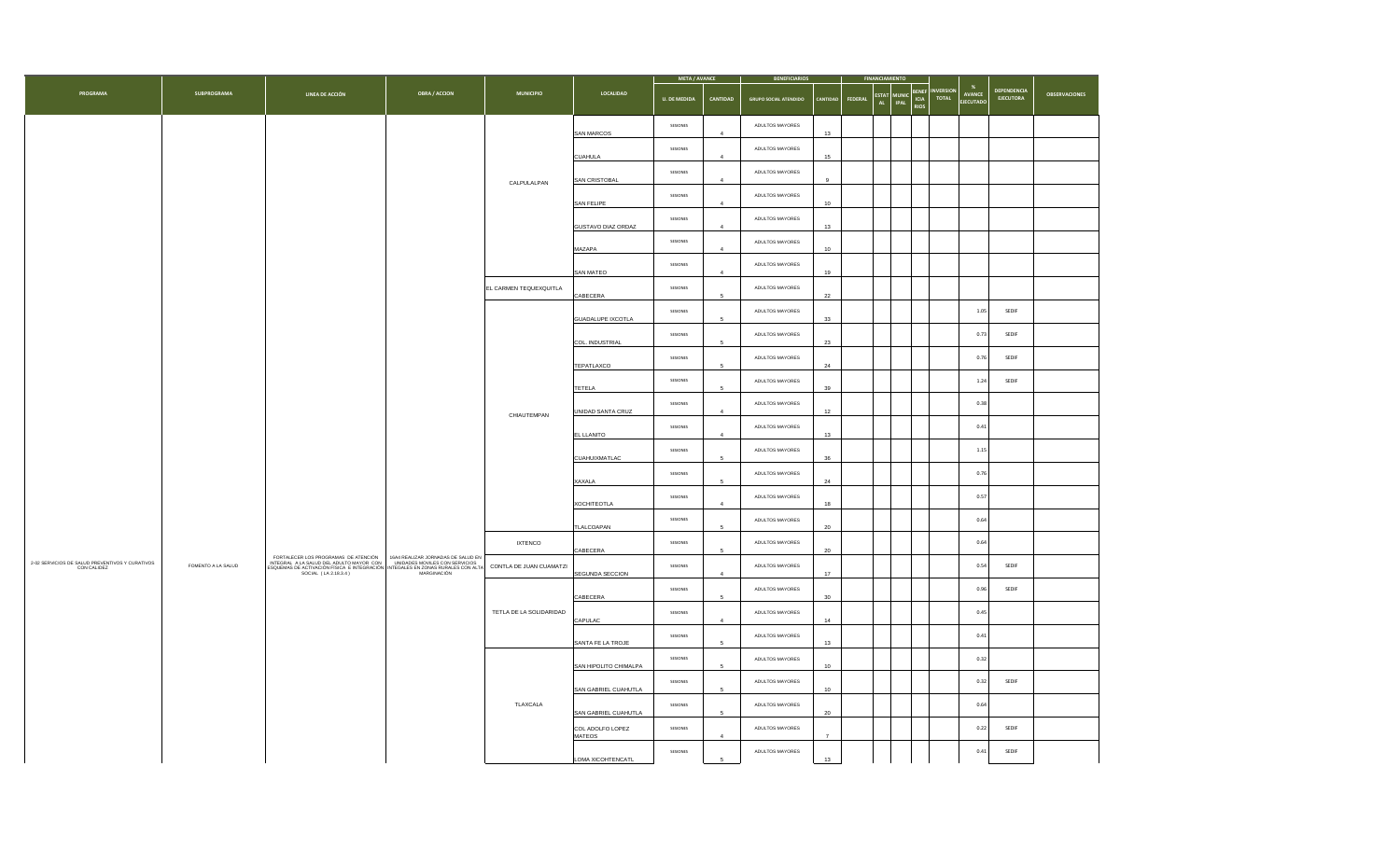|                                                                |                    |                                                                                                                                                                                                                                                                                                                                                                          |                                                                                               |                                                                            |                       | META / AVANCE       |                | <b>BENEFICIARIOS</b>         |                 |                    |                                   |                                                                       |                                               |                          |                      |  |  |
|----------------------------------------------------------------|--------------------|--------------------------------------------------------------------------------------------------------------------------------------------------------------------------------------------------------------------------------------------------------------------------------------------------------------------------------------------------------------------------|-----------------------------------------------------------------------------------------------|----------------------------------------------------------------------------|-----------------------|---------------------|----------------|------------------------------|-----------------|--------------------|-----------------------------------|-----------------------------------------------------------------------|-----------------------------------------------|--------------------------|----------------------|--|--|
| PROGRAMA                                                       | SUBPROGRAMA        | LINEA DE ACCIÓN                                                                                                                                                                                                                                                                                                                                                          | OBRA / ACCION                                                                                 | <b>MUNICIPIO</b>                                                           | LOCALIDAD             | <b>U. DE MEDIDA</b> | CANTIDAD       | <b>GRUPO SOCIAL ATENDIDO</b> | <b>CANTIDA</b>  | FEDERAL<br>AL      | <b>ESTAT MUNIC</b><br><b>IPAL</b> | <b>IVERSION</b><br><b>ENEF</b><br><b>TOTAL</b><br>ICIA<br><b>RIOS</b> | $\boldsymbol{\%}$<br>AVANCE<br><b>JECUTAD</b> | DEPENDENCIA<br>EJECUTORA | <b>OBSERVACIONES</b> |  |  |
|                                                                |                    |                                                                                                                                                                                                                                                                                                                                                                          |                                                                                               |                                                                            | SAN MARCOS            | SESIONES            | $\overline{4}$ | ADULTOS MAYORES              | $13\,$          |                    |                                   |                                                                       |                                               |                          |                      |  |  |
|                                                                |                    |                                                                                                                                                                                                                                                                                                                                                                          |                                                                                               |                                                                            | <b>CUAHULA</b>        | SESIONES            |                | ADULTOS MAYORES              | 15              |                    |                                   |                                                                       |                                               |                          |                      |  |  |
|                                                                |                    |                                                                                                                                                                                                                                                                                                                                                                          |                                                                                               | CALPULALPAN                                                                | SAN CRISTOBAL         | SESIONES            | $\overline{4}$ | ADULTOS MAYORES              |                 |                    |                                   |                                                                       |                                               |                          |                      |  |  |
|                                                                |                    |                                                                                                                                                                                                                                                                                                                                                                          |                                                                                               |                                                                            | SAN FELIPE            | SESIONES            |                | ADULTOS MAYORES              | 10              |                    |                                   |                                                                       |                                               |                          |                      |  |  |
|                                                                |                    |                                                                                                                                                                                                                                                                                                                                                                          |                                                                                               |                                                                            | GUSTAVO DIAZ ORDAZ    | SESIONES            | $\overline{4}$ | ADULTOS MAYORES              | $13\,$          |                    |                                   |                                                                       |                                               |                          |                      |  |  |
|                                                                |                    |                                                                                                                                                                                                                                                                                                                                                                          |                                                                                               |                                                                            | MAZAPA                | SESIONES            |                | ADULTOS MAYORES              | 10              |                    |                                   |                                                                       |                                               |                          |                      |  |  |
|                                                                |                    |                                                                                                                                                                                                                                                                                                                                                                          |                                                                                               |                                                                            | SAN MATEO             | SESIONES            | $\overline{4}$ | ADULTOS MAYORES              | 19              |                    |                                   |                                                                       |                                               |                          |                      |  |  |
|                                                                |                    |                                                                                                                                                                                                                                                                                                                                                                          |                                                                                               | EL CARMEN TEQUEXQUITLA                                                     | CABECERA              | SESIONES            |                | ADULTOS MAYORES              | $22\,$          |                    |                                   |                                                                       |                                               |                          |                      |  |  |
|                                                                |                    |                                                                                                                                                                                                                                                                                                                                                                          |                                                                                               |                                                                            | GUADALUPE IXCOTLA     | SESIONES            | $\sqrt{5}$     | ADULTOS MAYORES              | 33              |                    |                                   |                                                                       | 1.05                                          | SEDIF                    |                      |  |  |
|                                                                |                    |                                                                                                                                                                                                                                                                                                                                                                          |                                                                                               | CHIAUTEMPAN                                                                | COL. INDUSTRIAL       | SESIONES            |                | ADULTOS MAYORES              | 23              |                    |                                   |                                                                       | 0.73                                          | SEDIF                    |                      |  |  |
|                                                                |                    |                                                                                                                                                                                                                                                                                                                                                                          |                                                                                               |                                                                            | TEPATLAXCO            | SESIONES            | $\,$ 5         | ADULTOS MAYORES              | $\mathbf{24}$   |                    |                                   |                                                                       | 0.76                                          | SEDIF                    |                      |  |  |
|                                                                |                    |                                                                                                                                                                                                                                                                                                                                                                          |                                                                                               |                                                                            | <b>TETELA</b>         | SESIONES            |                | ADULTOS MAYORES              | 39              |                    |                                   |                                                                       | 1.24                                          | SEDIF                    |                      |  |  |
|                                                                |                    |                                                                                                                                                                                                                                                                                                                                                                          |                                                                                               |                                                                            | UNIDAD SANTA CRUZ     | SESIONES            | $\overline{4}$ | ADULTOS MAYORES              | 12              |                    |                                   |                                                                       | 0.38                                          |                          |                      |  |  |
|                                                                |                    |                                                                                                                                                                                                                                                                                                                                                                          |                                                                                               |                                                                            | EL LLANITO            | SESIONES            | $\mathbf{A}$   | ADULTOS MAYORES              | 13              |                    |                                   |                                                                       | 0.41                                          |                          |                      |  |  |
|                                                                |                    |                                                                                                                                                                                                                                                                                                                                                                          |                                                                                               |                                                                            |                       | CUAHUIXMATLAC       | SESIONES       | $\sqrt{5}$                   | ADULTOS MAYORES | 36                 |                                   |                                                                       |                                               | 1.15                     |                      |  |  |
|                                                                |                    |                                                                                                                                                                                                                                                                                                                                                                          |                                                                                               |                                                                            |                       |                     | XAXALA         | SESIONES                     |                 | ADULTOS MAYORES    | $\mathbf{^{24}}$                  |                                                                       |                                               |                          | 0.76                 |  |  |
|                                                                |                    |                                                                                                                                                                                                                                                                                                                                                                          |                                                                                               |                                                                            |                       |                     |                |                              |                 | <b>XOCHITEOTLA</b> | SESIONES                          | $\overline{4}$                                                        | ADULTOS MAYORES                               | 18                       |                      |  |  |
|                                                                |                    |                                                                                                                                                                                                                                                                                                                                                                          |                                                                                               |                                                                            | TLALCOAPAN            | SESIONES            | 5              | ADULTOS MAYORES              | 20              |                    |                                   |                                                                       | 0.64                                          |                          |                      |  |  |
|                                                                |                    |                                                                                                                                                                                                                                                                                                                                                                          |                                                                                               | <b>IXTENCO</b>                                                             | CABECERA              | SESIONES            | 5              | ADULTOS MAYORES              | $20\,$          |                    |                                   |                                                                       | 0.64                                          |                          |                      |  |  |
| 2-02 SERVICIOS DE SALUD PREVENTIVOS Y CURATIVOS<br>CON CALIDEZ | FOMENTO A LA SALUD | $\begin{array}{ l l } \hline \texttt{FORTALECER\,\,LOS\,\,PROGRAMAS\,\,DE\,\,ATENCION} & \texttt{16A4\,\,REALIZAR\,\,JORNADAS\,\,DE\,\,SEALUD\,\,ENHEGRALA\,\,A LA SALUD\,\,DELAINCHOOR CON\,\,   & \texttt{UNIDADEB}\,\,CONSE, RURALES, FURALES CON ALTACOS\nESQUEMAS DE ACTIVACION FISCAE. E INTEGRACION\n  & \texttt{MARGINACION} & \texttt{MARGINACION} \end{array}$ |                                                                                               | CONTLA DE JUAN CUAMATZI                                                    | SEGUNDA SECCION       | SESIONES            | $\overline{a}$ | ADULTOS MAYORES              | 17              |                    |                                   |                                                                       | 0.54                                          | SEDIF                    |                      |  |  |
|                                                                |                    |                                                                                                                                                                                                                                                                                                                                                                          |                                                                                               |                                                                            | CABECERA              | SESIONES            | 5              | ADULTOS MAYORES              | 30              |                    |                                   |                                                                       | 0.96                                          | SEDIF                    |                      |  |  |
|                                                                |                    |                                                                                                                                                                                                                                                                                                                                                                          |                                                                                               | TETLA DE LA SOLIDARIDAD                                                    | CAPULAC               | SESIONES            | $\overline{a}$ | ADULTOS MAYORES              | 14              |                    |                                   |                                                                       | 0.45                                          |                          |                      |  |  |
|                                                                |                    |                                                                                                                                                                                                                                                                                                                                                                          |                                                                                               |                                                                            | SANTA FE LA TROJE     | SESIONES            | 5              | ADULTOS MAYORES              | 13              |                    |                                   |                                                                       | 0.41                                          |                          |                      |  |  |
|                                                                |                    |                                                                                                                                                                                                                                                                                                                                                                          |                                                                                               |                                                                            | SAN HIPOLITO CHIMALPA | SESIONES            | 5              | ADULTOS MAYORES              | 10              |                    |                                   |                                                                       | 0.32                                          |                          |                      |  |  |
|                                                                |                    |                                                                                                                                                                                                                                                                                                                                                                          | SESIONES<br>SAN GABRIEL CUAHUTLA                                                              | 5                                                                          | ADULTOS MAYORES       | 10                  |                |                              |                 | 0.32               | SEDIF                             |                                                                       |                                               |                          |                      |  |  |
|                                                                |                    |                                                                                                                                                                                                                                                                                                                                                                          |                                                                                               | TLAXCALA<br>SESIONES<br>ADULTOS MAYORES<br>SAN GABRIEL CUAHUTLA<br>20<br>5 |                       | 0.64                |                |                              |                 |                    |                                   |                                                                       |                                               |                          |                      |  |  |
|                                                                |                    |                                                                                                                                                                                                                                                                                                                                                                          | ADULTOS MAYORES<br>SESIONES<br>COL ADOLFO LOPEZ<br>MATEOS<br>$\overline{a}$<br>$\overline{7}$ |                                                                            |                       | 0.22                | SEDIF          |                              |                 |                    |                                   |                                                                       |                                               |                          |                      |  |  |
|                                                                |                    |                                                                                                                                                                                                                                                                                                                                                                          |                                                                                               |                                                                            | LOMA XICOHTENCATL     | SESIONES            | 5              | ADULTOS MAYORES              | 13              |                    |                                   |                                                                       | 0.41                                          | SEDIF                    |                      |  |  |